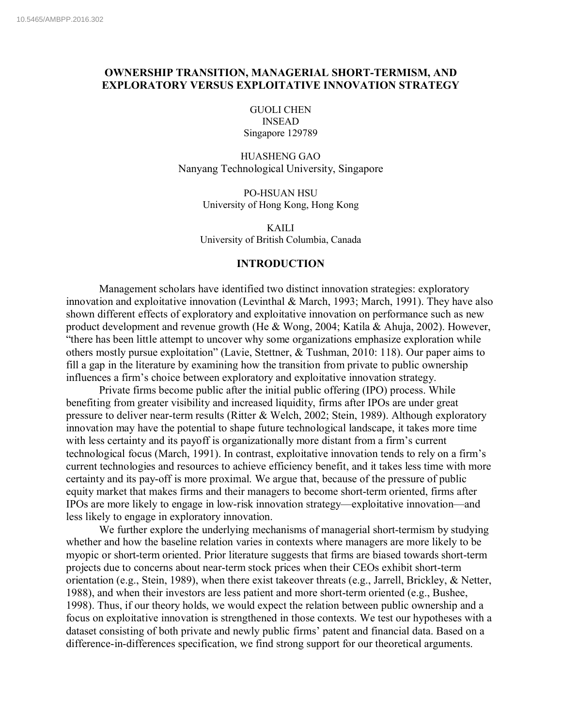# **OWNERSHIP TRANSITION, MANAGERIAL SHORT-TERMISM, AND EXPLORATORY VERSUS EXPLOITATIVE INNOVATION STRATEGY**

GUOLI CHEN INSEAD Singapore 129789

HUASHENG GAO Nanyang Technological University, Singapore

> PO-HSUAN HSU University of Hong Kong, Hong Kong

KAILI University of British Columbia, Canada

# **INTRODUCTION**

Management scholars have identified two distinct innovation strategies: exploratory innovation and exploitative innovation (Levinthal & March, 1993; March, 1991). They have also shown different effects of exploratory and exploitative innovation on performance such as new product development and revenue growth (He & Wong, 2004; Katila & Ahuja, 2002). However, "there has been little attempt to uncover why some organizations emphasize exploration while others mostly pursue exploitation" (Lavie, Stettner, & Tushman, 2010: 118). Our paper aims to fill a gap in the literature by examining how the transition from private to public ownership influences a firm's choice between exploratory and exploitative innovation strategy.

Private firms become public after the initial public offering (IPO) process. While benefiting from greater visibility and increased liquidity, firms after IPOs are under great pressure to deliver near-term results (Ritter & Welch, 2002; Stein, 1989). Although exploratory innovation may have the potential to shape future technological landscape, it takes more time with less certainty and its payoff is organizationally more distant from a firm's current technological focus (March, 1991). In contrast, exploitative innovation tends to rely on a firm's current technologies and resources to achieve efficiency benefit, and it takes less time with more certainty and its pay-off is more proximal. We argue that, because of the pressure of public equity market that makes firms and their managers to become short-term oriented, firms after IPOs are more likely to engage in low-risk innovation strategy—exploitative innovation—and less likely to engage in exploratory innovation.

We further explore the underlying mechanisms of managerial short-termism by studying whether and how the baseline relation varies in contexts where managers are more likely to be myopic or short-term oriented. Prior literature suggests that firms are biased towards short-term projects due to concerns about near-term stock prices when their CEOs exhibit short-term orientation (e.g., Stein, 1989), when there exist takeover threats (e.g., Jarrell, Brickley, & Netter, 1988), and when their investors are less patient and more short-term oriented (e.g., Bushee, 1998). Thus, if our theory holds, we would expect the relation between public ownership and a focus on exploitative innovation is strengthened in those contexts. We test our hypotheses with a dataset consisting of both private and newly public firms' patent and financial data. Based on a difference-in-differences specification, we find strong support for our theoretical arguments.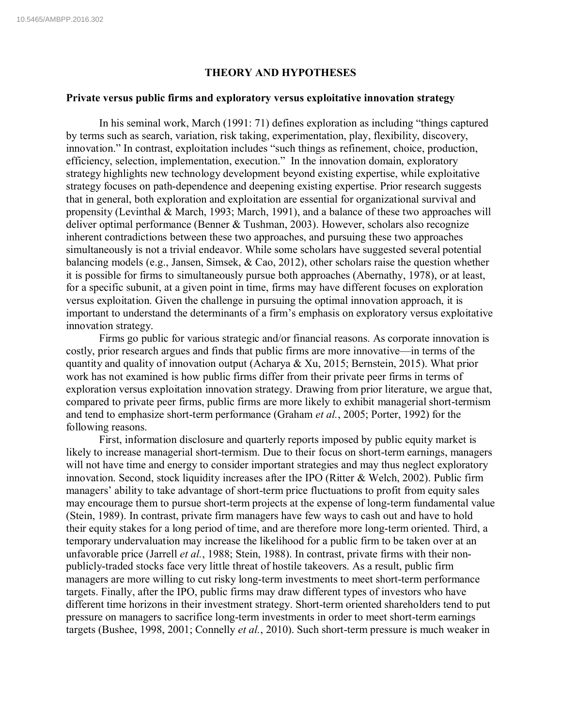## **THEORY AND HYPOTHESES**

#### **Private versus public firms and exploratory versus exploitative innovation strategy**

In his seminal work, March (1991: 71) defines exploration as including "things captured by terms such as search, variation, risk taking, experimentation, play, flexibility, discovery, innovation." In contrast, exploitation includes "such things as refinement, choice, production, efficiency, selection, implementation, execution." In the innovation domain, exploratory strategy highlights new technology development beyond existing expertise, while exploitative strategy focuses on path-dependence and deepening existing expertise. Prior research suggests that in general, both exploration and exploitation are essential for organizational survival and propensity (Levinthal & March, 1993; March, 1991), and a balance of these two approaches will deliver optimal performance (Benner & Tushman, 2003). However, scholars also recognize inherent contradictions between these two approaches, and pursuing these two approaches simultaneously is not a trivial endeavor. While some scholars have suggested several potential balancing models (e.g., Jansen, Simsek, & Cao, 2012), other scholars raise the question whether it is possible for firms to simultaneously pursue both approaches (Abernathy, 1978), or at least, for a specific subunit, at a given point in time, firms may have different focuses on exploration versus exploitation. Given the challenge in pursuing the optimal innovation approach, it is important to understand the determinants of a firm's emphasis on exploratory versus exploitative innovation strategy.

Firms go public for various strategic and/or financial reasons. As corporate innovation is costly, prior research argues and finds that public firms are more innovative—in terms of the quantity and quality of innovation output (Acharya & Xu, 2015; Bernstein, 2015). What prior work has not examined is how public firms differ from their private peer firms in terms of exploration versus exploitation innovation strategy. Drawing from prior literature, we argue that, compared to private peer firms, public firms are more likely to exhibit managerial short-termism and tend to emphasize short-term performance (Graham *et al.*, 2005; Porter, 1992) for the following reasons.

First, information disclosure and quarterly reports imposed by public equity market is likely to increase managerial short-termism. Due to their focus on short-term earnings, managers will not have time and energy to consider important strategies and may thus neglect exploratory innovation. Second, stock liquidity increases after the IPO (Ritter & Welch, 2002). Public firm managers' ability to take advantage of short-term price fluctuations to profit from equity sales may encourage them to pursue short-term projects at the expense of long-term fundamental value (Stein, 1989). In contrast, private firm managers have few ways to cash out and have to hold their equity stakes for a long period of time, and are therefore more long-term oriented. Third, a temporary undervaluation may increase the likelihood for a public firm to be taken over at an unfavorable price (Jarrell *et al.*, 1988; Stein, 1988). In contrast, private firms with their nonpublicly-traded stocks face very little threat of hostile takeovers. As a result, public firm managers are more willing to cut risky long-term investments to meet short-term performance targets. Finally, after the IPO, public firms may draw different types of investors who have different time horizons in their investment strategy. Short-term oriented shareholders tend to put pressure on managers to sacrifice long-term investments in order to meet short-term earnings targets (Bushee, 1998, 2001; Connelly *et al.*, 2010). Such short-term pressure is much weaker in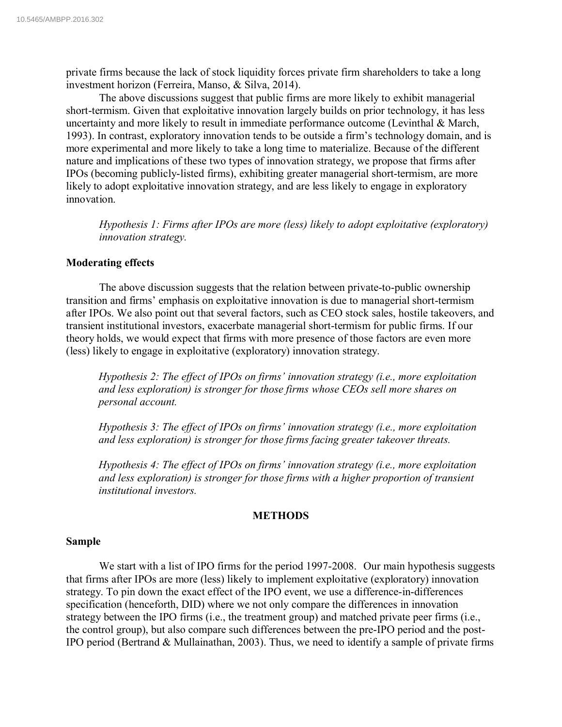private firms because the lack of stock liquidity forces private firm shareholders to take a long investment horizon (Ferreira, Manso, & Silva, 2014).

The above discussions suggest that public firms are more likely to exhibit managerial short-termism. Given that exploitative innovation largely builds on prior technology, it has less uncertainty and more likely to result in immediate performance outcome (Levinthal & March, 1993). In contrast, exploratory innovation tends to be outside a firm's technology domain, and is more experimental and more likely to take a long time to materialize. Because of the different nature and implications of these two types of innovation strategy, we propose that firms after IPOs (becoming publicly-listed firms), exhibiting greater managerial short-termism, are more likely to adopt exploitative innovation strategy, and are less likely to engage in exploratory innovation.

*Hypothesis 1: Firms after IPOs are more (less) likely to adopt exploitative (exploratory) innovation strategy.*

# **Moderating effects**

The above discussion suggests that the relation between private-to-public ownership transition and firms' emphasis on exploitative innovation is due to managerial short-termism after IPOs. We also point out that several factors, such as CEO stock sales, hostile takeovers, and transient institutional investors, exacerbate managerial short-termism for public firms. If our theory holds, we would expect that firms with more presence of those factors are even more (less) likely to engage in exploitative (exploratory) innovation strategy.

*Hypothesis 2: The effect of IPOs on firms' innovation strategy (i.e., more exploitation and less exploration) is stronger for those firms whose CEOs sell more shares on personal account.*

*Hypothesis 3: The effect of IPOs on firms' innovation strategy (i.e., more exploitation and less exploration) is stronger for those firms facing greater takeover threats.* 

*Hypothesis 4: The effect of IPOs on firms' innovation strategy (i.e., more exploitation and less exploration) is stronger for those firms with a higher proportion of transient institutional investors.*

## **METHODS**

#### **Sample**

We start with a list of IPO firms for the period 1997-2008. Our main hypothesis suggests that firms after IPOs are more (less) likely to implement exploitative (exploratory) innovation strategy. To pin down the exact effect of the IPO event, we use a difference-in-differences specification (henceforth, DID) where we not only compare the differences in innovation strategy between the IPO firms (i.e., the treatment group) and matched private peer firms (i.e., the control group), but also compare such differences between the pre-IPO period and the post-IPO period (Bertrand & Mullainathan, 2003). Thus, we need to identify a sample of private firms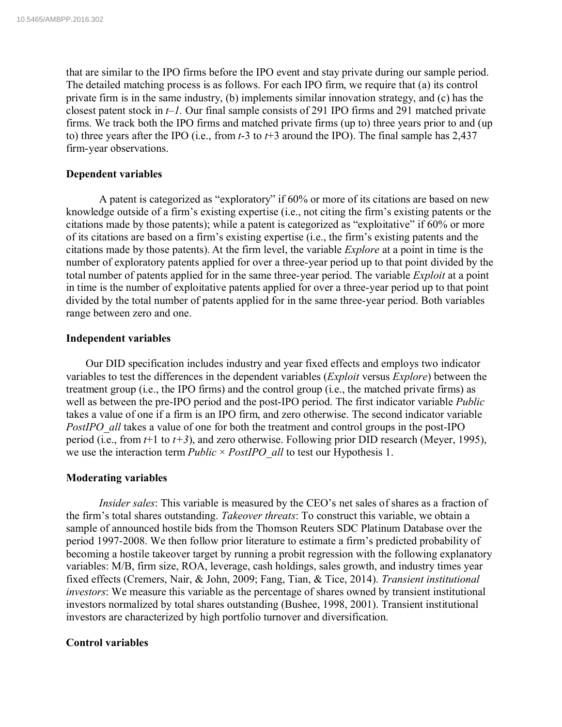that are similar to the IPO firms before the IPO event and stay private during our sample period. The detailed matching process is as follows. For each IPO firm, we require that (a) its control private firm is in the same industry, (b) implements similar innovation strategy, and (c) has the closest patent stock in *t*–*1.* Our final sample consists of 291 IPO firms and 291 matched private firms. We track both the IPO firms and matched private firms (up to) three years prior to and (up to) three years after the IPO (i.e., from *t*-3 to *t*+3 around the IPO). The final sample has 2,437 firm-year observations.

# **Dependent variables**

A patent is categorized as "exploratory" if 60% or more of its citations are based on new knowledge outside of a firm's existing expertise (i.e., not citing the firm's existing patents or the citations made by those patents); while a patent is categorized as "exploitative" if 60% or more of its citations are based on a firm's existing expertise (i.e., the firm's existing patents and the citations made by those patents). At the firm level, the variable *Explore* at a point in time is the number of exploratory patents applied for over a three-year period up to that point divided by the total number of patents applied for in the same three-year period. The variable *Exploit* at a point in time is the number of exploitative patents applied for over a three-year period up to that point divided by the total number of patents applied for in the same three-year period. Both variables range between zero and one.

# **Independent variables**

Our DID specification includes industry and year fixed effects and employs two indicator variables to test the differences in the dependent variables (*Exploit* versus *Explore*) between the treatment group (i.e., the IPO firms) and the control group (i.e., the matched private firms) as well as between the pre-IPO period and the post-IPO period. The first indicator variable *Public* takes a value of one if a firm is an IPO firm, and zero otherwise. The second indicator variable *PostIPO\_all* takes a value of one for both the treatment and control groups in the post-IPO period (i.e., from *t*+1 to *t+3*), and zero otherwise. Following prior DID research (Meyer, 1995), we use the interaction term *Public* × *PostIPO\_all* to test our Hypothesis 1.

## **Moderating variables**

*Insider sales*: This variable is measured by the CEO's net sales of shares as a fraction of the firm's total shares outstanding. *Takeover threats*: To construct this variable, we obtain a sample of announced hostile bids from the Thomson Reuters SDC Platinum Database over the period 1997-2008. We then follow prior literature to estimate a firm's predicted probability of becoming a hostile takeover target by running a probit regression with the following explanatory variables: M/B, firm size, ROA, leverage, cash holdings, sales growth, and industry times year fixed effects (Cremers, Nair, & John, 2009; Fang, Tian, & Tice, 2014). *Transient institutional investors*: We measure this variable as the percentage of shares owned by transient institutional investors normalized by total shares outstanding (Bushee, 1998, 2001). Transient institutional investors are characterized by high portfolio turnover and diversification.

## **Control variables**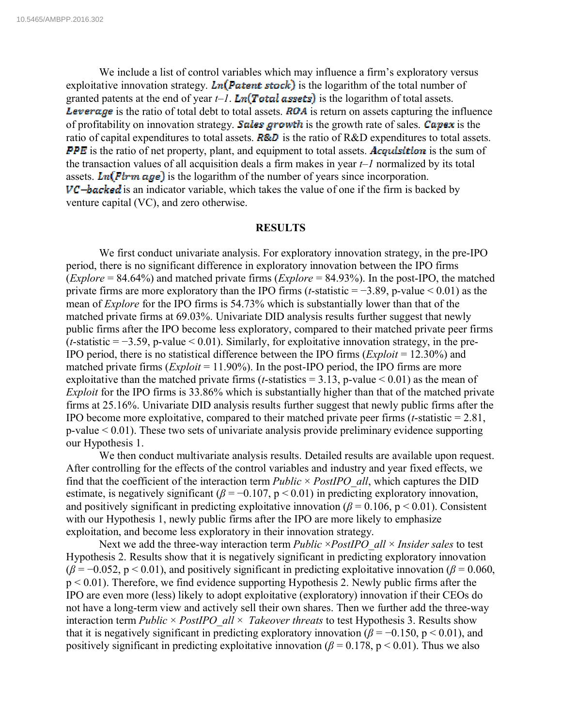We include a list of control variables which may influence a firm's exploratory versus exploitative innovation strategy. Ln(Patent stock) is the logarithm of the total number of granted patents at the end of year  $t-1$ . Ln(Total assets) is the logarithm of total assets. **Leverage** is the ratio of total debt to total assets. **ROA** is return on assets capturing the influence of profitability on innovation strategy. Sales growth is the growth rate of sales. Capex is the ratio of capital expenditures to total assets.  $\vec{RAD}$  is the ratio of  $R&D$  expenditures to total assets. **PPE** is the ratio of net property, plant, and equipment to total assets. **Acquisition** is the sum of the transaction values of all acquisition deals a firm makes in year *t*–*1* normalized by its total assets.  $\text{Ln}(\text{Firm age})$  is the logarithm of the number of years since incorporation.  $VC - backed$  is an indicator variable, which takes the value of one if the firm is backed by venture capital (VC), and zero otherwise.

#### **RESULTS**

We first conduct univariate analysis. For exploratory innovation strategy, in the pre-IPO period, there is no significant difference in exploratory innovation between the IPO firms (*Explore* = 84.64%) and matched private firms (*Explore* = 84.93%). In the post-IPO, the matched private firms are more exploratory than the IPO firms (*t*-statistic = −3.89, p-value < 0.01) as the mean of *Explore* for the IPO firms is 54.73% which is substantially lower than that of the matched private firms at 69.03%. Univariate DID analysis results further suggest that newly public firms after the IPO become less exploratory, compared to their matched private peer firms  $(t\text{-statistic} = -3.59, \text{p-value} < 0.01)$ . Similarly, for exploitative innovation strategy, in the pre-IPO period, there is no statistical difference between the IPO firms (*Exploit* = 12.30%) and matched private firms (*Exploit* = 11.90%). In the post-IPO period, the IPO firms are more exploitative than the matched private firms (*t*-statistics  $= 3.13$ , p-value  $\le 0.01$ ) as the mean of *Exploit* for the IPO firms is 33.86% which is substantially higher than that of the matched private firms at 25.16%. Univariate DID analysis results further suggest that newly public firms after the IPO become more exploitative, compared to their matched private peer firms (*t*-statistic = 2.81, p-value < 0.01). These two sets of univariate analysis provide preliminary evidence supporting our Hypothesis 1.

We then conduct multivariate analysis results. Detailed results are available upon request. After controlling for the effects of the control variables and industry and year fixed effects, we find that the coefficient of the interaction term *Public* × *PostIPO\_all*, which captures the DID estimate, is negatively significant ( $\beta$  = -0.107, p < 0.01) in predicting exploratory innovation, and positively significant in predicting exploitative innovation  $(\beta = 0.106, p \le 0.01)$ . Consistent with our Hypothesis 1, newly public firms after the IPO are more likely to emphasize exploitation, and become less exploratory in their innovation strategy.

Next we add the three-way interaction term *Public* × *PostIPO\_all* × *Insider sales* to test Hypothesis 2. Results show that it is negatively significant in predicting exploratory innovation  $(\beta = -0.052, p < 0.01)$ , and positively significant in predicting exploitative innovation ( $\beta = 0.060$ ,  $p < 0.01$ ). Therefore, we find evidence supporting Hypothesis 2. Newly public firms after the IPO are even more (less) likely to adopt exploitative (exploratory) innovation if their CEOs do not have a long-term view and actively sell their own shares. Then we further add the three-way interaction term *Public* × *PostIPO\_all* × *Takeover threats* to test Hypothesis 3. Results show that it is negatively significant in predicting exploratory innovation ( $\beta$  = −0.150, p < 0.01), and positively significant in predicting exploitative innovation ( $\beta$  = 0.178, p < 0.01). Thus we also